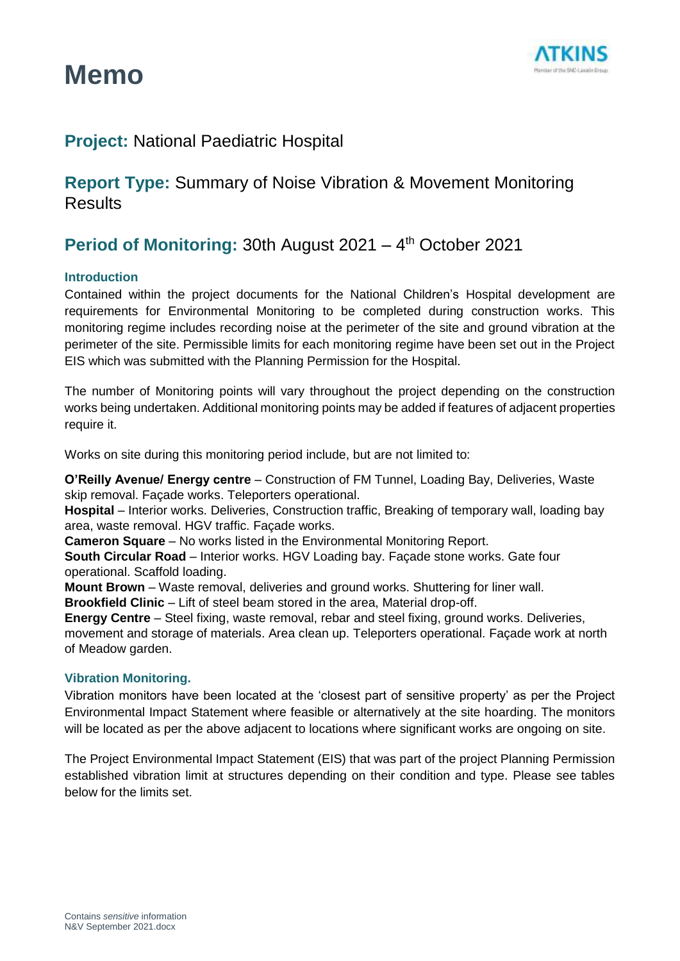



### **Project:** National Paediatric Hospital

**Report Type:** Summary of Noise Vibration & Movement Monitoring **Results** 

### Period of Monitoring: 30th August 2021 - 4<sup>th</sup> October 2021

### **Introduction**

Contained within the project documents for the National Children's Hospital development are requirements for Environmental Monitoring to be completed during construction works. This monitoring regime includes recording noise at the perimeter of the site and ground vibration at the perimeter of the site. Permissible limits for each monitoring regime have been set out in the Project EIS which was submitted with the Planning Permission for the Hospital.

The number of Monitoring points will vary throughout the project depending on the construction works being undertaken. Additional monitoring points may be added if features of adjacent properties require it.

Works on site during this monitoring period include, but are not limited to:

**O'Reilly Avenue/ Energy centre** – Construction of FM Tunnel, Loading Bay, Deliveries, Waste skip removal. Façade works. Teleporters operational.

**Hospital** – Interior works. Deliveries, Construction traffic, Breaking of temporary wall, loading bay area, waste removal. HGV traffic. Façade works.

**Cameron Square** – No works listed in the Environmental Monitoring Report.

**South Circular Road** – Interior works. HGV Loading bay. Façade stone works. Gate four operational. Scaffold loading.

**Mount Brown** – Waste removal, deliveries and ground works. Shuttering for liner wall.

**Brookfield Clinic** – Lift of steel beam stored in the area, Material drop-off.

**Energy Centre** – Steel fixing, waste removal, rebar and steel fixing, ground works. Deliveries, movement and storage of materials. Area clean up. Teleporters operational. Façade work at north of Meadow garden.

### **Vibration Monitoring.**

Vibration monitors have been located at the 'closest part of sensitive property' as per the Project Environmental Impact Statement where feasible or alternatively at the site hoarding. The monitors will be located as per the above adjacent to locations where significant works are ongoing on site.

The Project Environmental Impact Statement (EIS) that was part of the project Planning Permission established vibration limit at structures depending on their condition and type. Please see tables below for the limits set.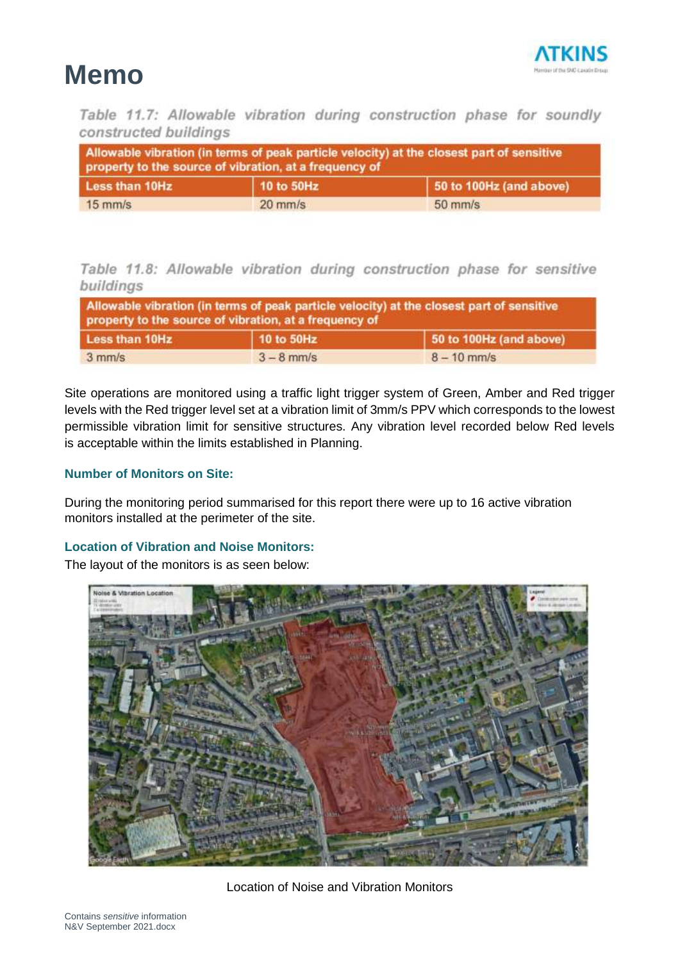

Table 11.7: Allowable vibration during construction phase for soundly constructed buildings

| Allowable vibration (in terms of peak particle velocity) at the closest part of sensitive<br>property to the source of vibration, at a frequency of |            |                         |  |
|-----------------------------------------------------------------------------------------------------------------------------------------------------|------------|-------------------------|--|
| <b>Less than 10Hz</b>                                                                                                                               | 10 to 50Hz | 50 to 100Hz (and above) |  |
| $15$ mm/s                                                                                                                                           | $20$ mm/s  | $50$ mm/s               |  |

### Table 11.8: Allowable vibration during construction phase for sensitive buildings

| Allowable vibration (in terms of peak particle velocity) at the closest part of sensitive<br>property to the source of vibration, at a frequency of |              |                         |  |
|-----------------------------------------------------------------------------------------------------------------------------------------------------|--------------|-------------------------|--|
| Less than 10Hz                                                                                                                                      | 10 to 50Hz   | 50 to 100Hz (and above) |  |
| $3$ mm/s                                                                                                                                            | $3 - 8$ mm/s | $8 - 10$ mm/s           |  |

Site operations are monitored using a traffic light trigger system of Green, Amber and Red trigger levels with the Red trigger level set at a vibration limit of 3mm/s PPV which corresponds to the lowest permissible vibration limit for sensitive structures. Any vibration level recorded below Red levels is acceptable within the limits established in Planning.

### **Number of Monitors on Site:**

During the monitoring period summarised for this report there were up to 16 active vibration monitors installed at the perimeter of the site.

### **Location of Vibration and Noise Monitors:**

The layout of the monitors is as seen below:



Location of Noise and Vibration Monitors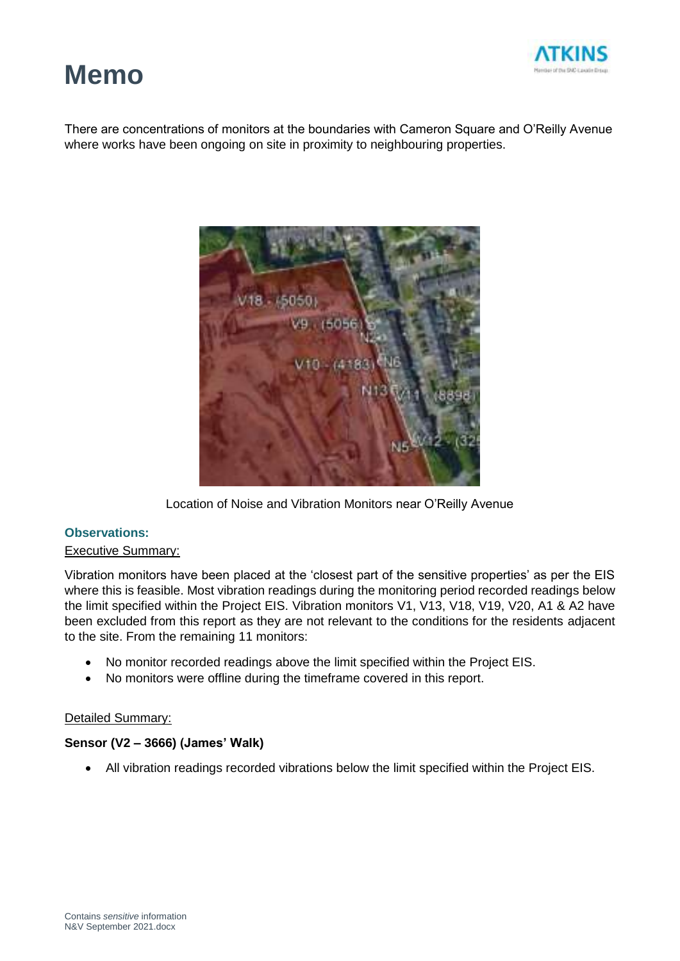

There are concentrations of monitors at the boundaries with Cameron Square and O'Reilly Avenue where works have been ongoing on site in proximity to neighbouring properties.



Location of Noise and Vibration Monitors near O'Reilly Avenue

### **Observations:**

### Executive Summary:

Vibration monitors have been placed at the 'closest part of the sensitive properties' as per the EIS where this is feasible. Most vibration readings during the monitoring period recorded readings below the limit specified within the Project EIS. Vibration monitors V1, V13, V18, V19, V20, A1 & A2 have been excluded from this report as they are not relevant to the conditions for the residents adjacent to the site. From the remaining 11 monitors:

- No monitor recorded readings above the limit specified within the Project EIS.
- No monitors were offline during the timeframe covered in this report.

### Detailed Summary:

### **Sensor (V2 – 3666) (James' Walk)**

• All vibration readings recorded vibrations below the limit specified within the Project EIS.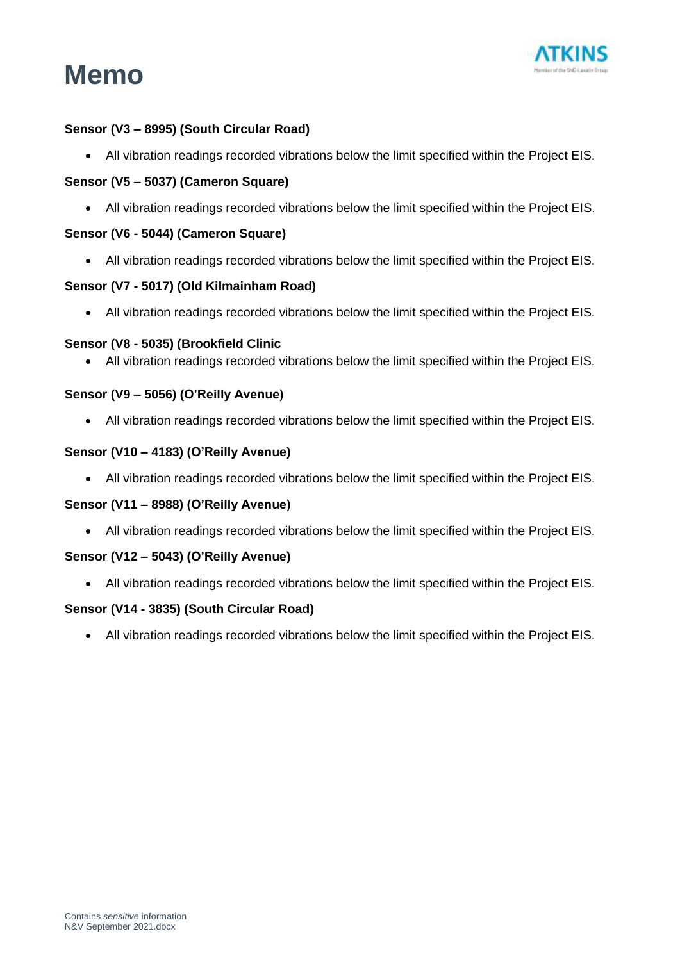



### **Sensor (V3 – 8995) (South Circular Road)**

• All vibration readings recorded vibrations below the limit specified within the Project EIS.

### **Sensor (V5 – 5037) (Cameron Square)**

• All vibration readings recorded vibrations below the limit specified within the Project EIS.

### **Sensor (V6 - 5044) (Cameron Square)**

• All vibration readings recorded vibrations below the limit specified within the Project EIS.

### **Sensor (V7 - 5017) (Old Kilmainham Road)**

• All vibration readings recorded vibrations below the limit specified within the Project EIS.

### **Sensor (V8 - 5035) (Brookfield Clinic**

• All vibration readings recorded vibrations below the limit specified within the Project EIS.

### **Sensor (V9 – 5056) (O'Reilly Avenue)**

• All vibration readings recorded vibrations below the limit specified within the Project EIS.

### **Sensor (V10 – 4183) (O'Reilly Avenue)**

• All vibration readings recorded vibrations below the limit specified within the Project EIS.

### **Sensor (V11 – 8988) (O'Reilly Avenue)**

• All vibration readings recorded vibrations below the limit specified within the Project EIS.

#### **Sensor (V12 – 5043) (O'Reilly Avenue)**

• All vibration readings recorded vibrations below the limit specified within the Project EIS.

#### **Sensor (V14 - 3835) (South Circular Road)**

• All vibration readings recorded vibrations below the limit specified within the Project EIS.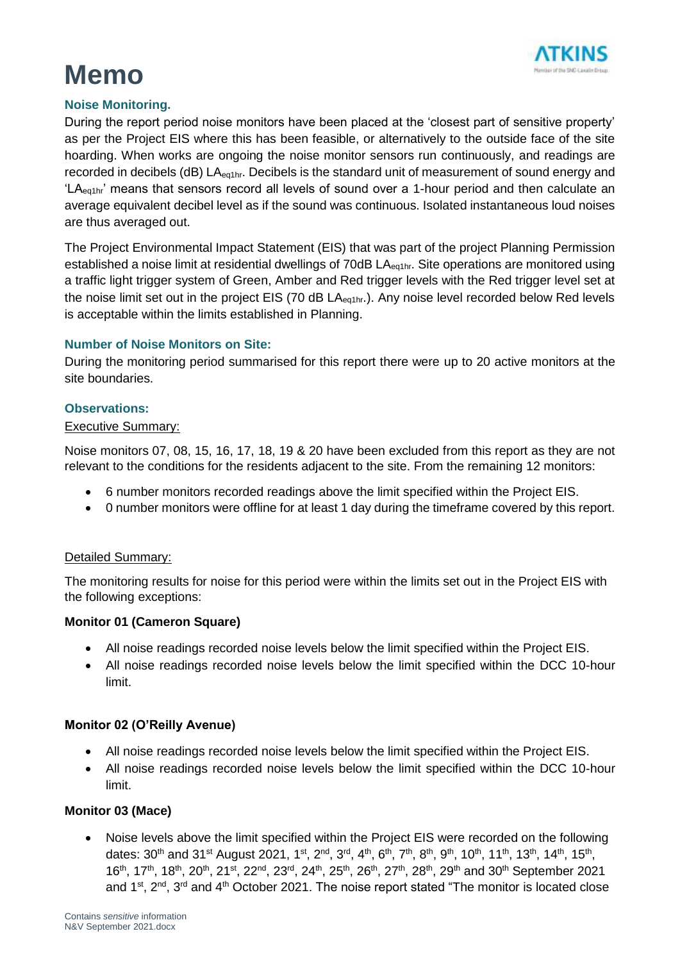

### **Noise Monitoring.**

During the report period noise monitors have been placed at the 'closest part of sensitive property' as per the Project EIS where this has been feasible, or alternatively to the outside face of the site hoarding. When works are ongoing the noise monitor sensors run continuously, and readings are recorded in decibels (dB) LA<sub>eq1hr</sub>. Decibels is the standard unit of measurement of sound energy and 'LA<sub>eg1hr</sub>' means that sensors record all levels of sound over a 1-hour period and then calculate an average equivalent decibel level as if the sound was continuous. Isolated instantaneous loud noises are thus averaged out.

The Project Environmental Impact Statement (EIS) that was part of the project Planning Permission established a noise limit at residential dwellings of 70dB LA<sub>eq1hr</sub>. Site operations are monitored using a traffic light trigger system of Green, Amber and Red trigger levels with the Red trigger level set at the noise limit set out in the project EIS (70 dB LA<sub>eq1hr</sub>.). Any noise level recorded below Red levels is acceptable within the limits established in Planning.

### **Number of Noise Monitors on Site:**

During the monitoring period summarised for this report there were up to 20 active monitors at the site boundaries.

### **Observations:**

### Executive Summary:

Noise monitors 07, 08, 15, 16, 17, 18, 19 & 20 have been excluded from this report as they are not relevant to the conditions for the residents adjacent to the site. From the remaining 12 monitors:

- 6 number monitors recorded readings above the limit specified within the Project EIS.
- 0 number monitors were offline for at least 1 day during the timeframe covered by this report.

### Detailed Summary:

The monitoring results for noise for this period were within the limits set out in the Project EIS with the following exceptions:

### **Monitor 01 (Cameron Square)**

- All noise readings recorded noise levels below the limit specified within the Project EIS.
- All noise readings recorded noise levels below the limit specified within the DCC 10-hour limit.

### **Monitor 02 (O'Reilly Avenue)**

- All noise readings recorded noise levels below the limit specified within the Project EIS.
- All noise readings recorded noise levels below the limit specified within the DCC 10-hour limit.

### **Monitor 03 (Mace)**

• Noise levels above the limit specified within the Project EIS were recorded on the following dates: 30<sup>th</sup> and 31<sup>st</sup> August 2021, 1<sup>st</sup>, 2<sup>nd</sup>, 3<sup>rd</sup>, 4<sup>th</sup>, 6<sup>th</sup>, 7<sup>th</sup>, 8<sup>th</sup>, 9<sup>th</sup>, 10<sup>th</sup>, 11<sup>th</sup>, 13<sup>th</sup>, 14<sup>th</sup>, 15<sup>th</sup>, 16<sup>th</sup>, 17<sup>th</sup>, 18<sup>th</sup>, 20<sup>th</sup>, 21<sup>st</sup>, 22<sup>nd</sup>, 23<sup>rd</sup>, 24<sup>th</sup>, 25<sup>th</sup>, 26<sup>th</sup>, 27<sup>th</sup>, 28<sup>th</sup>, 29<sup>th</sup> and 30<sup>th</sup> September 2021 and 1<sup>st</sup>, 2<sup>nd</sup>, 3<sup>rd</sup> and 4<sup>th</sup> October 2021. The noise report stated "The monitor is located close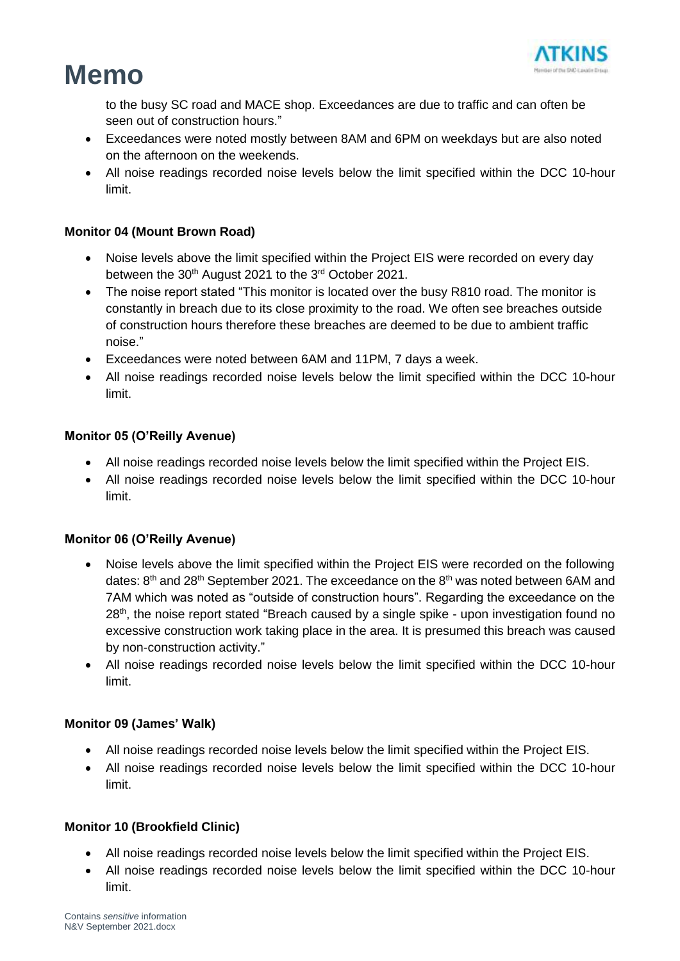

to the busy SC road and MACE shop. Exceedances are due to traffic and can often be seen out of construction hours."

- Exceedances were noted mostly between 8AM and 6PM on weekdays but are also noted on the afternoon on the weekends.
- All noise readings recorded noise levels below the limit specified within the DCC 10-hour limit.

### **Monitor 04 (Mount Brown Road)**

- Noise levels above the limit specified within the Project EIS were recorded on every day between the 30<sup>th</sup> August 2021 to the 3<sup>rd</sup> October 2021.
- The noise report stated "This monitor is located over the busy R810 road. The monitor is constantly in breach due to its close proximity to the road. We often see breaches outside of construction hours therefore these breaches are deemed to be due to ambient traffic noise."
- Exceedances were noted between 6AM and 11PM, 7 days a week.
- All noise readings recorded noise levels below the limit specified within the DCC 10-hour limit.

### **Monitor 05 (O'Reilly Avenue)**

- All noise readings recorded noise levels below the limit specified within the Project EIS.
- All noise readings recorded noise levels below the limit specified within the DCC 10-hour limit.

### **Monitor 06 (O'Reilly Avenue)**

- Noise levels above the limit specified within the Project EIS were recorded on the following dates:  $8<sup>th</sup>$  and 28<sup>th</sup> September 2021. The exceedance on the  $8<sup>th</sup>$  was noted between 6AM and 7AM which was noted as "outside of construction hours". Regarding the exceedance on the 28<sup>th</sup>, the noise report stated "Breach caused by a single spike - upon investigation found no excessive construction work taking place in the area. It is presumed this breach was caused by non-construction activity."
- All noise readings recorded noise levels below the limit specified within the DCC 10-hour limit.

### **Monitor 09 (James' Walk)**

- All noise readings recorded noise levels below the limit specified within the Project EIS.
- All noise readings recorded noise levels below the limit specified within the DCC 10-hour limit.

### **Monitor 10 (Brookfield Clinic)**

- All noise readings recorded noise levels below the limit specified within the Project EIS.
- All noise readings recorded noise levels below the limit specified within the DCC 10-hour limit.